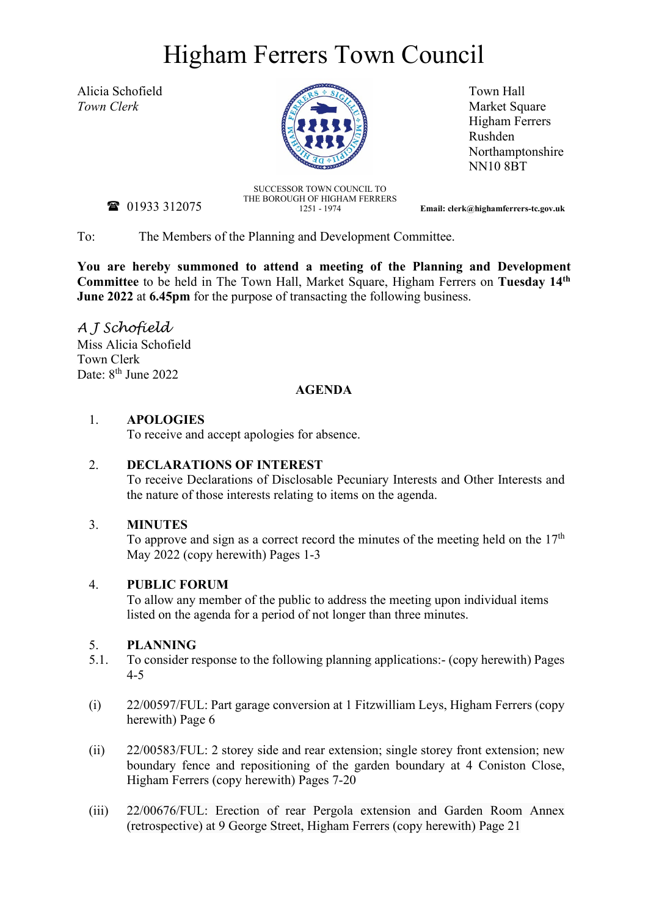# Higham Ferrers Town Council



**Market Square** Higham Ferrers Rushden Northamptonshire NN10 8BT

**雷** 01933 312075

SUCCESSOR TOWN COUNCIL TO THE BOROUGH OF HIGHAM FERRERS<br>1251 - 1974

1251 - 1974 **Email: clerk@highamferrers-tc.gov.uk**

To: The Members of the Planning and Development Committee.

**You are hereby summoned to attend a meeting of the Planning and Development Committee** to be held in The Town Hall, Market Square, Higham Ferrers on **Tuesday 14th June 2022** at **6.45pm** for the purpose of transacting the following business.

*A J Schofield* Miss Alicia Schofield Town Clerk Date: 8<sup>th</sup> June 2022

#### **AGENDA**

### 1. **APOLOGIES**

To receive and accept apologies for absence.

### 2. **DECLARATIONS OF INTEREST**

To receive Declarations of Disclosable Pecuniary Interests and Other Interests and the nature of those interests relating to items on the agenda.

### 3. **MINUTES**

To approve and sign as a correct record the minutes of the meeting held on the  $17<sup>th</sup>$ May 2022 (copy herewith) Pages 1-3

### 4. **PUBLIC FORUM**

To allow any member of the public to address the meeting upon individual items listed on the agenda for a period of not longer than three minutes.

### 5. **PLANNING**

- 5.1. To consider response to the following planning applications:- (copy herewith) Pages 4-5
- (i) 22/00597/FUL: Part garage conversion at 1 Fitzwilliam Leys, Higham Ferrers (copy herewith) Page 6
- (ii) 22/00583/FUL: 2 storey side and rear extension; single storey front extension; new boundary fence and repositioning of the garden boundary at 4 Coniston Close, Higham Ferrers (copy herewith) Pages 7-20
- (iii) 22/00676/FUL: Erection of rear Pergola extension and Garden Room Annex (retrospective) at 9 George Street, Higham Ferrers (copy herewith) Page 21